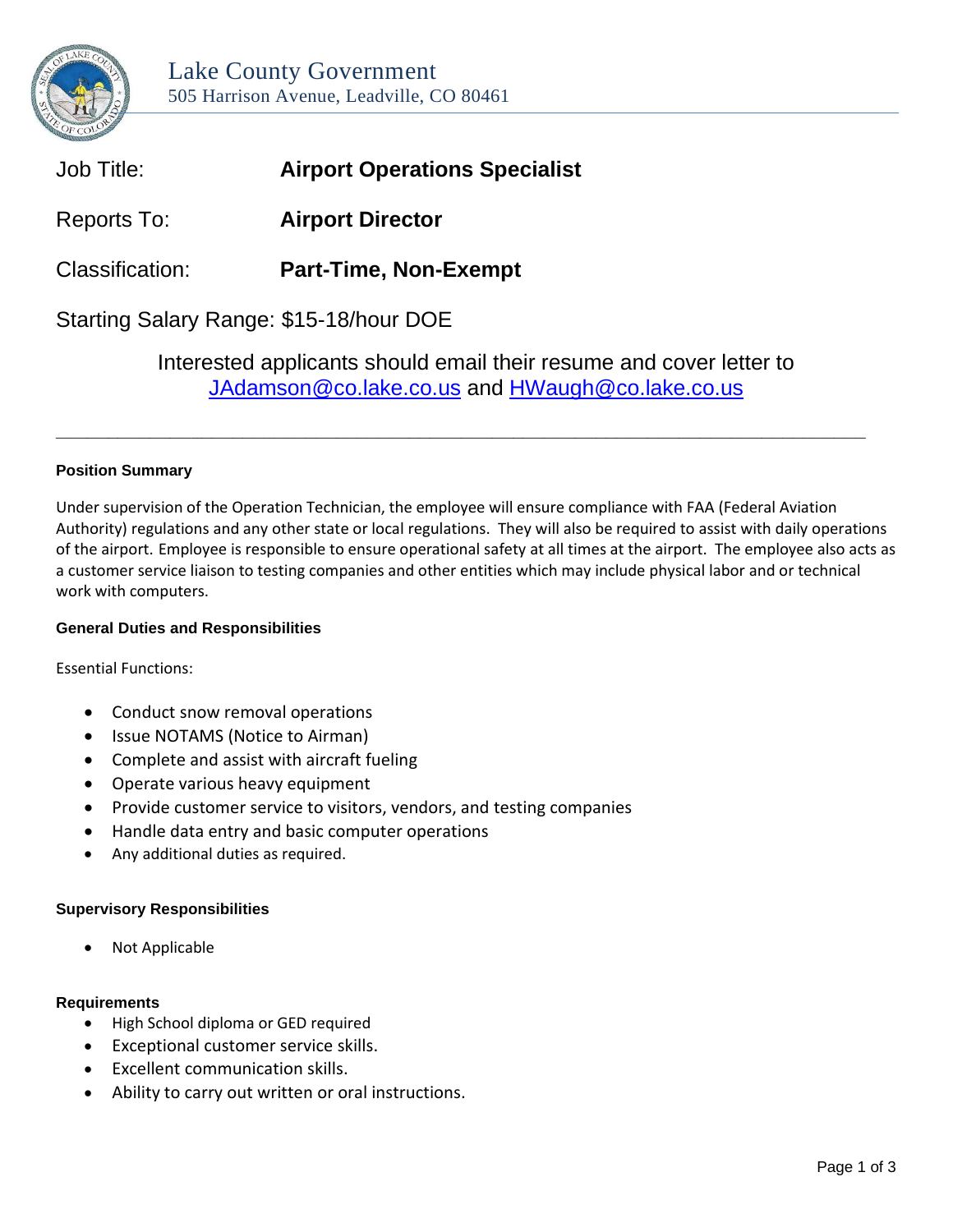

| Job Title:                              | <b>Airport Operations Specialist</b> |
|-----------------------------------------|--------------------------------------|
| Reports To:                             | <b>Airport Director</b>              |
| Classification:                         | <b>Part-Time, Non-Exempt</b>         |
| Starting Salary Range: \$15-18/hour DOE |                                      |

Interested applicants should email their resume and cover letter to [JAdamson@co.lake.co.us](mailto:JAdamson@co.lake.co.us) and [HWaugh@co.lake.co.us](mailto:HWaugh@co.lake.co.us)

**\_\_\_\_\_\_\_\_\_\_\_\_\_\_\_\_\_\_\_\_\_\_\_\_\_\_\_\_\_\_\_\_\_\_\_\_\_\_\_\_\_\_\_\_\_\_\_\_\_\_\_\_\_\_\_\_\_\_\_\_\_\_\_\_\_\_\_\_\_\_\_\_\_\_\_\_\_\_**

# **Position Summary**

Under supervision of the Operation Technician, the employee will ensure compliance with FAA (Federal Aviation Authority) regulations and any other state or local regulations. They will also be required to assist with daily operations of the airport. Employee is responsible to ensure operational safety at all times at the airport. The employee also acts as a customer service liaison to testing companies and other entities which may include physical labor and or technical work with computers.

## **General Duties and Responsibilities**

Essential Functions:

- Conduct snow removal operations
- Issue NOTAMS (Notice to Airman)
- Complete and assist with aircraft fueling
- Operate various heavy equipment
- Provide customer service to visitors, vendors, and testing companies
- Handle data entry and basic computer operations
- Any additional duties as required.

## **Supervisory Responsibilities**

• Not Applicable

### **Requirements**

- High School diploma or GED required
- Exceptional customer service skills.
- Excellent communication skills.
- Ability to carry out written or oral instructions.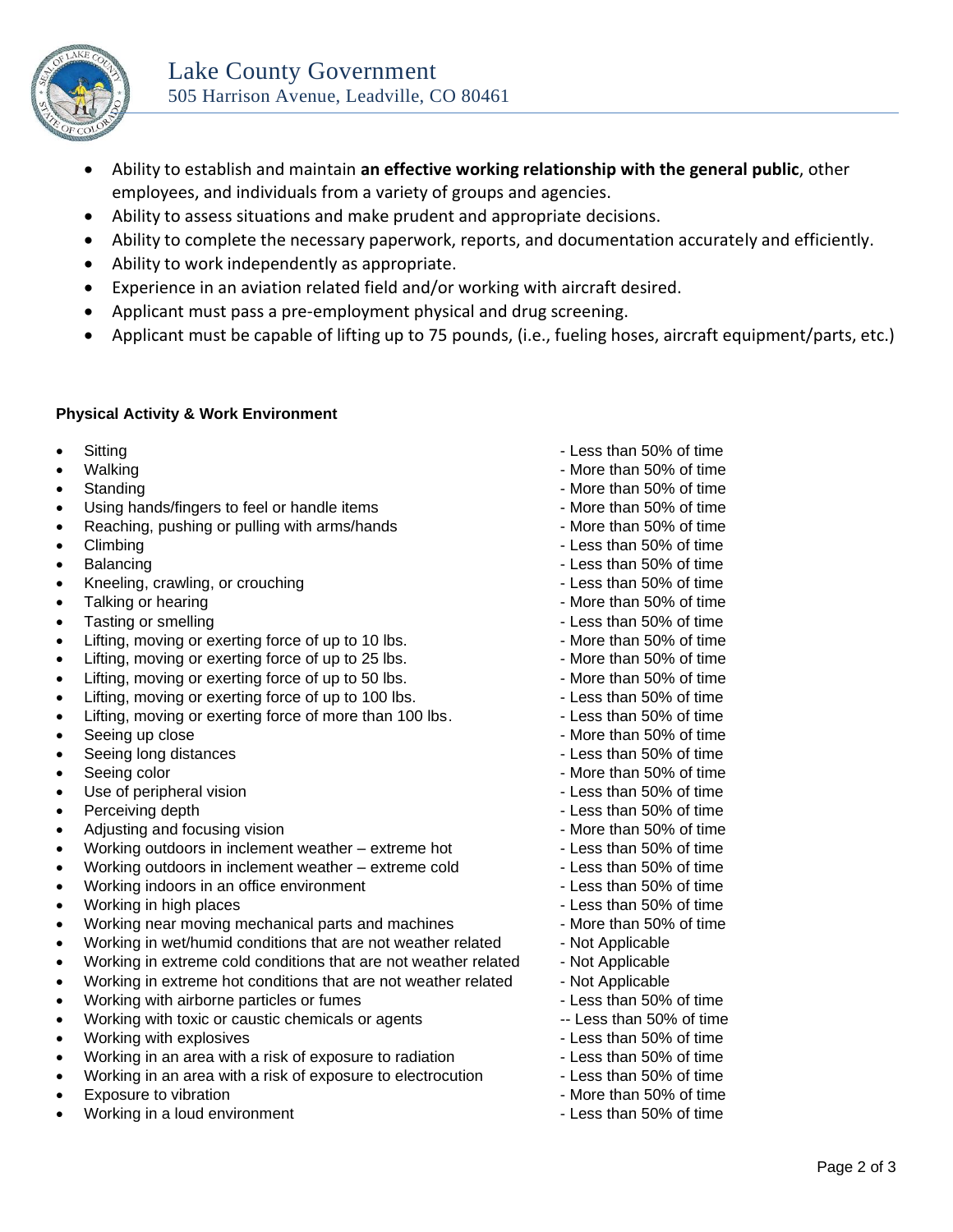

- Ability to establish and maintain **an effective working relationship with the general public**, other employees, and individuals from a variety of groups and agencies.
- Ability to assess situations and make prudent and appropriate decisions.
- Ability to complete the necessary paperwork, reports, and documentation accurately and efficiently.
- Ability to work independently as appropriate.
- Experience in an aviation related field and/or working with aircraft desired.
- Applicant must pass a pre-employment physical and drug screening.
- Applicant must be capable of lifting up to 75 pounds, (i.e., fueling hoses, aircraft equipment/parts, etc.)

## **Physical Activity & Work Environment**

- 
- 
- 
- Using hands/fingers to feel or handle items More than 50% of time
- Reaching, pushing or pulling with arms/hands More than 50% of time
- 
- 
- Kneeling, crawling, or crouching  $\blacksquare$
- Talking or hearing  $\blacksquare$  Talking or hearing  $\blacksquare$
- Tasting or smelling  $\overline{\phantom{a}}$  Less than 50% of time
- Lifting, moving or exerting force of up to 10 lbs. The More than 50% of time
- Lifting, moving or exerting force of up to 25 lbs. The More than 50% of time
- Lifting, moving or exerting force of up to 50 lbs. The More than 50% of time
- Lifting, moving or exerting force of up to 100 lbs. Less than 50% of time
- Lifting, moving or exerting force of more than 100 lbs. Less than 50% of time
- Seeing up close More than 50% of time
- Seeing long distances Less than 50% of time
- Frame of the seeing color  $\sim$  More than 50% of time
- Use of peripheral vision  $\blacksquare$
- **Perceiving depth Less than 50% of time**
- Adjusting and focusing vision **Adjusting and focusing vision** All and the More than 50% of time
- Working outdoors in inclement weather extreme hot Less than 50% of time
- Working outdoors in inclement weather extreme cold  $\blacksquare$  Less than 50% of time
- Working indoors in an office environment  $\blacksquare$  Less than 50% of time
- Working in high places **All and Solution** 1 Less than 50% of time
- Working near moving mechanical parts and machines More than 50% of time
- Working in wet/humid conditions that are not weather related Not Applicable
- Working in extreme cold conditions that are not weather related Not Applicable
- Working in extreme hot conditions that are not weather related Not Applicable
- Working with airborne particles or fumes Less than 50% of time
- Working with toxic or caustic chemicals or agents -- Less than 50% of time
- Working with explosives  $\sim$  Less than 50% of time
- Working in an area with a risk of exposure to radiation  **Less than 50%** of time
- Working in an area with a risk of exposure to electrocution Less than 50% of time
- 
- Working in a loud environment  $\blacksquare$  Less than 50% of time
- Less than 50% of time  $\sim$  Less than 50% of time
- Walking More than 50% of time
- Standing **Standing Standing Standing Standing Standing Standing Standing Standing Standing Standing Standing Standing Standing Standing Standing Standing Standing Standing Standing Standing Standing Standing Standing Sta** 
	-
	-
- Climbing Less than 50% of time
- **Balancing but a large structure of the set of the set of the set of the set of time set of time set of time set of time set of time set of time set of time set of time set of time set of time set of time set of time set** 
	-
	-
	-
	-
	-
	-
	-
	-
	-
	-
	-
	-
	-
	-
	-
	-
	-
	-
	-
	-
	-
	-
	-
	-
	-
	-
- Exposure to vibration  $\blacksquare$  The mass of the More than 50% of time
	-